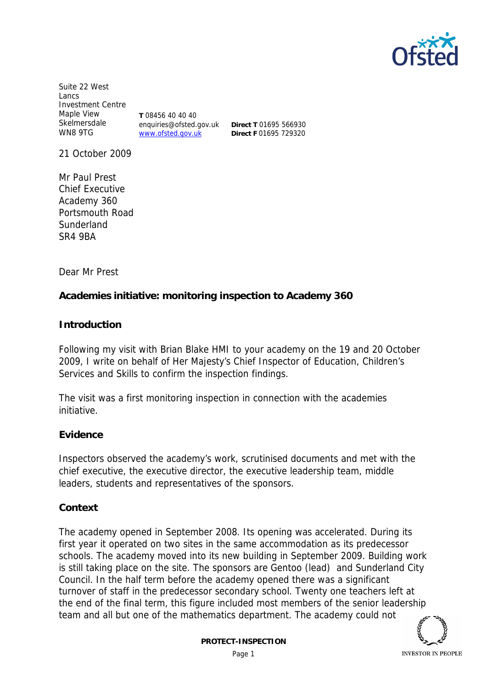

Suite 22 West Lancs Investment Centre Maple View Skelmersdale WN8 9TG

**T** 08456 40 40 40 enquiries@ofsted.gov.uk www.ofsted.gov.uk

**Direct T** 01695 566930 **Direct F** 01695 729320

21 October 2009

Mr Paul Prest Chief Executive Academy 360 Portsmouth Road Sunderland SR4 9BA

Dear Mr Prest

**Academies initiative: monitoring inspection to Academy 360**

**Introduction**

Following my visit with Brian Blake HMI to your academy on the 19 and 20 October 2009, I write on behalf of Her Majesty's Chief Inspector of Education, Children's Services and Skills to confirm the inspection findings.

The visit was a first monitoring inspection in connection with the academies initiative.

**Evidence**

Inspectors observed the academy's work, scrutinised documents and met with the chief executive, the executive director, the executive leadership team, middle leaders, students and representatives of the sponsors.

**Context**

The academy opened in September 2008. Its opening was accelerated. During its first year it operated on two sites in the same accommodation as its predecessor schools. The academy moved into its new building in September 2009. Building work is still taking place on the site. The sponsors are Gentoo (lead) and Sunderland City Council. In the half term before the academy opened there was a significant turnover of staff in the predecessor secondary school. Twenty one teachers left at the end of the final term, this figure included most members of the senior leadership team and all but one of the mathematics department. The academy could not

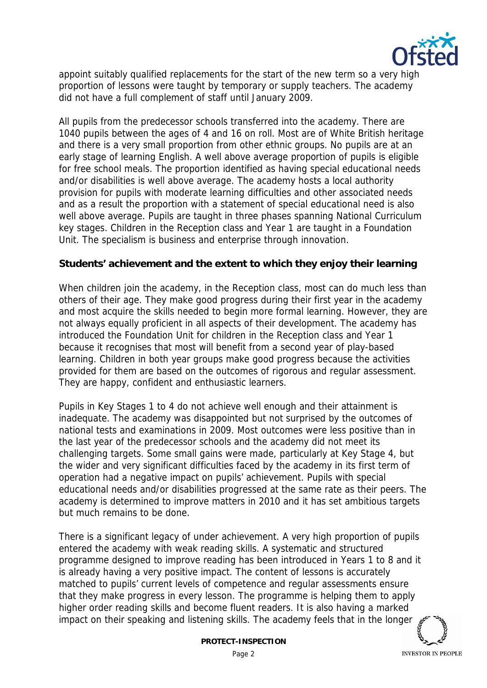

appoint suitably qualified replacements for the start of the new term so a very high proportion of lessons were taught by temporary or supply teachers. The academy did not have a full complement of staff until January 2009.

All pupils from the predecessor schools transferred into the academy. There are 1040 pupils between the ages of 4 and 16 on roll. Most are of White British heritage and there is a very small proportion from other ethnic groups. No pupils are at an early stage of learning English. A well above average proportion of pupils is eligible for free school meals. The proportion identified as having special educational needs and/or disabilities is well above average. The academy hosts a local authority provision for pupils with moderate learning difficulties and other associated needs and as a result the proportion with a statement of special educational need is also well above average. Pupils are taught in three phases spanning National Curriculum key stages. Children in the Reception class and Year 1 are taught in a Foundation Unit. The specialism is business and enterprise through innovation.

**Students' achievement and the extent to which they enjoy their learning**

When children join the academy, in the Reception class, most can do much less than others of their age. They make good progress during their first year in the academy and most acquire the skills needed to begin more formal learning. However, they are not always equally proficient in all aspects of their development. The academy has introduced the Foundation Unit for children in the Reception class and Year 1 because it recognises that most will benefit from a second year of play-based learning. Children in both year groups make good progress because the activities provided for them are based on the outcomes of rigorous and regular assessment. They are happy, confident and enthusiastic learners.

Pupils in Key Stages 1 to 4 do not achieve well enough and their attainment is inadequate. The academy was disappointed but not surprised by the outcomes of national tests and examinations in 2009. Most outcomes were less positive than in the last year of the predecessor schools and the academy did not meet its challenging targets. Some small gains were made, particularly at Key Stage 4, but the wider and very significant difficulties faced by the academy in its first term of operation had a negative impact on pupils' achievement. Pupils with special educational needs and/or disabilities progressed at the same rate as their peers. The academy is determined to improve matters in 2010 and it has set ambitious targets but much remains to be done.

There is a significant legacy of under achievement. A very high proportion of pupils entered the academy with weak reading skills. A systematic and structured programme designed to improve reading has been introduced in Years 1 to 8 and it is already having a very positive impact. The content of lessons is accurately matched to pupils' current levels of competence and regular assessments ensure that they make progress in every lesson. The programme is helping them to apply higher order reading skills and become fluent readers. It is also having a marked impact on their speaking and listening skills. The academy feels that in the longer



**INVESTOR IN PEOPLE**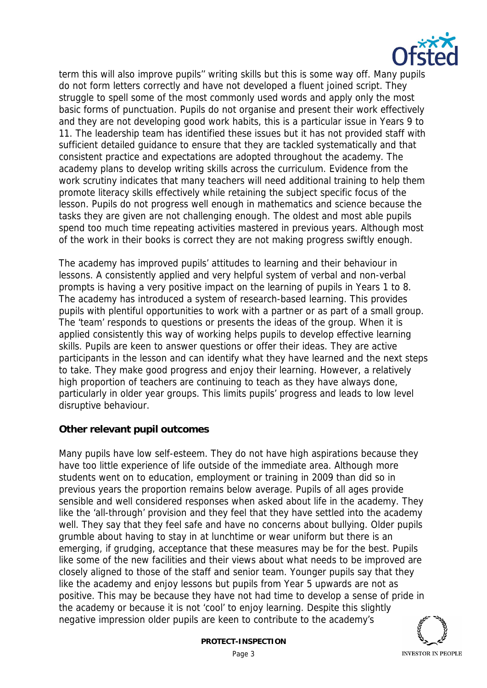

term this will also improve pupils'' writing skills but this is some way off. Many pupils do not form letters correctly and have not developed a fluent joined script. They struggle to spell some of the most commonly used words and apply only the most basic forms of punctuation. Pupils do not organise and present their work effectively and they are not developing good work habits, this is a particular issue in Years 9 to 11. The leadership team has identified these issues but it has not provided staff with sufficient detailed guidance to ensure that they are tackled systematically and that consistent practice and expectations are adopted throughout the academy. The academy plans to develop writing skills across the curriculum. Evidence from the work scrutiny indicates that many teachers will need additional training to help them promote literacy skills effectively while retaining the subject specific focus of the lesson. Pupils do not progress well enough in mathematics and science because the tasks they are given are not challenging enough. The oldest and most able pupils spend too much time repeating activities mastered in previous years. Although most of the work in their books is correct they are not making progress swiftly enough.

The academy has improved pupils' attitudes to learning and their behaviour in lessons. A consistently applied and very helpful system of verbal and non-verbal prompts is having a very positive impact on the learning of pupils in Years 1 to 8. The academy has introduced a system of research-based learning. This provides pupils with plentiful opportunities to work with a partner or as part of a small group. The 'team' responds to questions or presents the ideas of the group. When it is applied consistently this way of working helps pupils to develop effective learning skills. Pupils are keen to answer questions or offer their ideas. They are active participants in the lesson and can identify what they have learned and the next steps to take. They make good progress and enjoy their learning. However, a relatively high proportion of teachers are continuing to teach as they have always done, particularly in older year groups. This limits pupils' progress and leads to low level disruptive behaviour.

## **Other relevant pupil outcomes**

Many pupils have low self-esteem. They do not have high aspirations because they have too little experience of life outside of the immediate area. Although more students went on to education, employment or training in 2009 than did so in previous years the proportion remains below average. Pupils of all ages provide sensible and well considered responses when asked about life in the academy. They like the 'all-through' provision and they feel that they have settled into the academy well. They say that they feel safe and have no concerns about bullying. Older pupils grumble about having to stay in at lunchtime or wear uniform but there is an emerging, if grudging, acceptance that these measures may be for the best. Pupils like some of the new facilities and their views about what needs to be improved are closely aligned to those of the staff and senior team. Younger pupils say that they like the academy and enjoy lessons but pupils from Year 5 upwards are not as positive. This may be because they have not had time to develop a sense of pride in the academy or because it is not 'cool' to enjoy learning. Despite this slightly negative impression older pupils are keen to contribute to the academy's

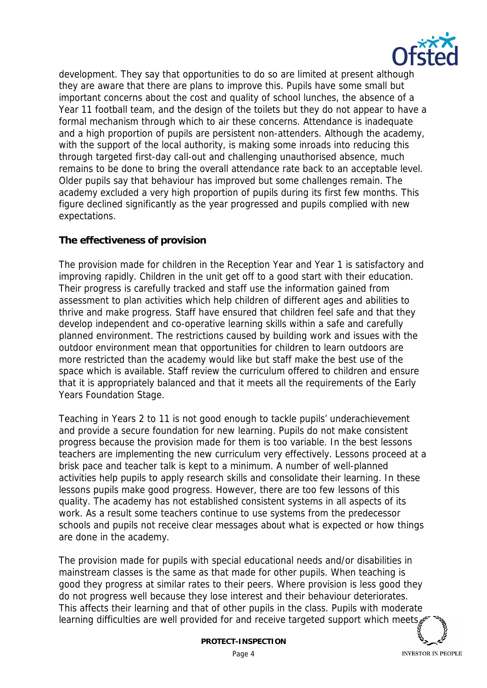

development. They say that opportunities to do so are limited at present although they are aware that there are plans to improve this. Pupils have some small but important concerns about the cost and quality of school lunches, the absence of a Year 11 football team, and the design of the toilets but they do not appear to have a formal mechanism through which to air these concerns. Attendance is inadequate and a high proportion of pupils are persistent non-attenders. Although the academy, with the support of the local authority, is making some inroads into reducing this through targeted first-day call-out and challenging unauthorised absence, much remains to be done to bring the overall attendance rate back to an acceptable level. Older pupils say that behaviour has improved but some challenges remain. The academy excluded a very high proportion of pupils during its first few months. This figure declined significantly as the year progressed and pupils complied with new expectations.

## **The effectiveness of provision**

The provision made for children in the Reception Year and Year 1 is satisfactory and improving rapidly. Children in the unit get off to a good start with their education. Their progress is carefully tracked and staff use the information gained from assessment to plan activities which help children of different ages and abilities to thrive and make progress. Staff have ensured that children feel safe and that they develop independent and co-operative learning skills within a safe and carefully planned environment. The restrictions caused by building work and issues with the outdoor environment mean that opportunities for children to learn outdoors are more restricted than the academy would like but staff make the best use of the space which is available. Staff review the curriculum offered to children and ensure that it is appropriately balanced and that it meets all the requirements of the Early Years Foundation Stage.

Teaching in Years 2 to 11 is not good enough to tackle pupils' underachievement and provide a secure foundation for new learning. Pupils do not make consistent progress because the provision made for them is too variable. In the best lessons teachers are implementing the new curriculum very effectively. Lessons proceed at a brisk pace and teacher talk is kept to a minimum. A number of well-planned activities help pupils to apply research skills and consolidate their learning. In these lessons pupils make good progress. However, there are too few lessons of this quality. The academy has not established consistent systems in all aspects of its work. As a result some teachers continue to use systems from the predecessor schools and pupils not receive clear messages about what is expected or how things are done in the academy.

The provision made for pupils with special educational needs and/or disabilities in mainstream classes is the same as that made for other pupils. When teaching is good they progress at similar rates to their peers. Where provision is less good they do not progress well because they lose interest and their behaviour deteriorates. This affects their learning and that of other pupils in the class. Pupils with moderate learning difficulties are well provided for and receive targeted support which meets

**INVESTOR IN PEOPLE**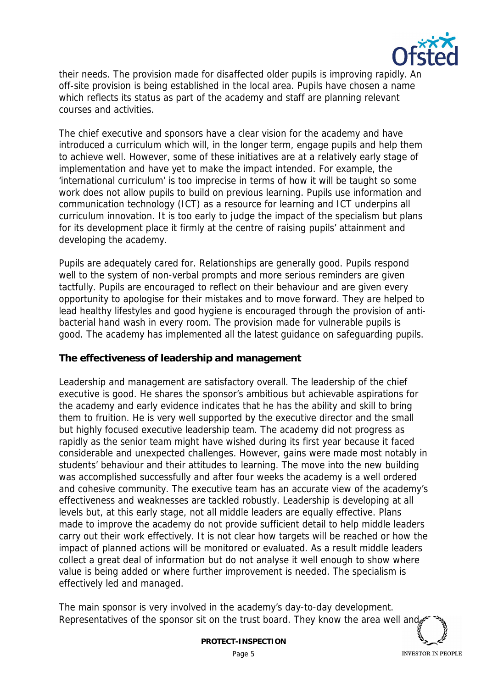

their needs. The provision made for disaffected older pupils is improving rapidly. An off-site provision is being established in the local area. Pupils have chosen a name which reflects its status as part of the academy and staff are planning relevant courses and activities.

The chief executive and sponsors have a clear vision for the academy and have introduced a curriculum which will, in the longer term, engage pupils and help them to achieve well. However, some of these initiatives are at a relatively early stage of implementation and have yet to make the impact intended. For example, the 'international curriculum' is too imprecise in terms of how it will be taught so some work does not allow pupils to build on previous learning. Pupils use information and communication technology (ICT) as a resource for learning and ICT underpins all curriculum innovation. It is too early to judge the impact of the specialism but plans for its development place it firmly at the centre of raising pupils' attainment and developing the academy.

Pupils are adequately cared for. Relationships are generally good. Pupils respond well to the system of non-verbal prompts and more serious reminders are given tactfully. Pupils are encouraged to reflect on their behaviour and are given every opportunity to apologise for their mistakes and to move forward. They are helped to lead healthy lifestyles and good hygiene is encouraged through the provision of antibacterial hand wash in every room. The provision made for vulnerable pupils is good. The academy has implemented all the latest guidance on safeguarding pupils.

**The effectiveness of leadership and management**

Leadership and management are satisfactory overall. The leadership of the chief executive is good. He shares the sponsor's ambitious but achievable aspirations for the academy and early evidence indicates that he has the ability and skill to bring them to fruition. He is very well supported by the executive director and the small but highly focused executive leadership team. The academy did not progress as rapidly as the senior team might have wished during its first year because it faced considerable and unexpected challenges. However, gains were made most notably in students' behaviour and their attitudes to learning. The move into the new building was accomplished successfully and after four weeks the academy is a well ordered and cohesive community. The executive team has an accurate view of the academy's effectiveness and weaknesses are tackled robustly. Leadership is developing at all levels but, at this early stage, not all middle leaders are equally effective. Plans made to improve the academy do not provide sufficient detail to help middle leaders carry out their work effectively. It is not clear how targets will be reached or how the impact of planned actions will be monitored or evaluated. As a result middle leaders collect a great deal of information but do not analyse it well enough to show where value is being added or where further improvement is needed. The specialism is effectively led and managed.

The main sponsor is very involved in the academy's day-to-day development. Representatives of the sponsor sit on the trust board. They know the area well and

**INVESTOR IN PEOPLE**